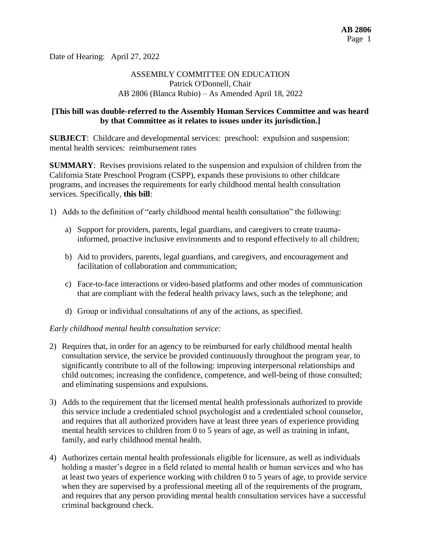Date of Hearing: April 27, 2022

# ASSEMBLY COMMITTEE ON EDUCATION Patrick O'Donnell, Chair AB 2806 (Blanca Rubio) – As Amended April 18, 2022

## **[This bill was double-referred to the Assembly Human Services Committee and was heard by that Committee as it relates to issues under its jurisdiction.]**

**SUBJECT**: Childcare and developmental services: preschool: expulsion and suspension: mental health services: reimbursement rates

**SUMMARY**: Revises provisions related to the suspension and expulsion of children from the California State Preschool Program (CSPP), expands these provisions to other childcare programs, and increases the requirements for early childhood mental health consultation services. Specifically, **this bill**:

- 1) Adds to the definition of "early childhood mental health consultation" the following:
	- a) Support for providers, parents, legal guardians, and caregivers to create traumainformed, proactive inclusive environments and to respond effectively to all children;
	- b) Aid to providers, parents, legal guardians, and caregivers, and encouragement and facilitation of collaboration and communication;
	- c) Face-to-face interactions or video-based platforms and other modes of communication that are compliant with the federal health privacy laws, such as the telephone; and
	- d) Group or individual consultations of any of the actions, as specified.

#### *Early childhood mental health consultation service:*

- 2) Requires that, in order for an agency to be reimbursed for early childhood mental health consultation service, the service be provided continuously throughout the program year, to significantly contribute to all of the following: improving interpersonal relationships and child outcomes; increasing the confidence, competence, and well-being of those consulted; and eliminating suspensions and expulsions.
- 3) Adds to the requirement that the licensed mental health professionals authorized to provide this service include a credentialed school psychologist and a credentialed school counselor, and requires that all authorized providers have at least three years of experience providing mental health services to children from 0 to 5 years of age, as well as training in infant, family, and early childhood mental health.
- 4) Authorizes certain mental health professionals eligible for licensure, as well as individuals holding a master's degree in a field related to mental health or human services and who has at least two years of experience working with children 0 to 5 years of age, to provide service when they are supervised by a professional meeting all of the requirements of the program, and requires that any person providing mental health consultation services have a successful criminal background check.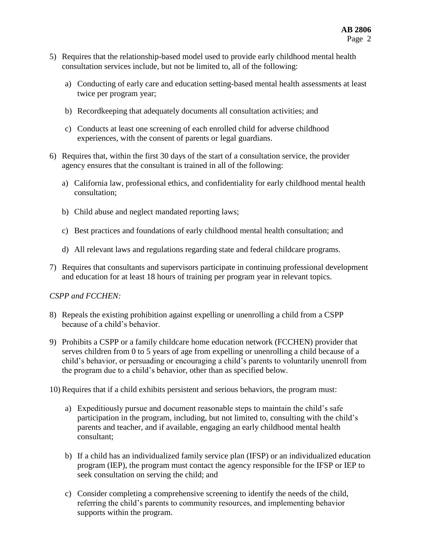- 5) Requires that the relationship-based model used to provide early childhood mental health consultation services include, but not be limited to, all of the following:
	- a) Conducting of early care and education setting-based mental health assessments at least twice per program year;
	- b) Recordkeeping that adequately documents all consultation activities; and
	- c) Conducts at least one screening of each enrolled child for adverse childhood experiences, with the consent of parents or legal guardians.
- 6) Requires that, within the first 30 days of the start of a consultation service, the provider agency ensures that the consultant is trained in all of the following:
	- a) California law, professional ethics, and confidentiality for early childhood mental health consultation;
	- b) Child abuse and neglect mandated reporting laws;
	- c) Best practices and foundations of early childhood mental health consultation; and
	- d) All relevant laws and regulations regarding state and federal childcare programs.
- 7) Requires that consultants and supervisors participate in continuing professional development and education for at least 18 hours of training per program year in relevant topics.

#### *CSPP and FCCHEN:*

- 8) Repeals the existing prohibition against expelling or unenrolling a child from a CSPP because of a child's behavior.
- 9) Prohibits a CSPP or a family childcare home education network (FCCHEN) provider that serves children from 0 to 5 years of age from expelling or unenrolling a child because of a child's behavior, or persuading or encouraging a child's parents to voluntarily unenroll from the program due to a child's behavior, other than as specified below.
- 10) Requires that if a child exhibits persistent and serious behaviors, the program must:
	- a) Expeditiously pursue and document reasonable steps to maintain the child's safe participation in the program, including, but not limited to, consulting with the child's parents and teacher, and if available, engaging an early childhood mental health consultant;
	- b) If a child has an individualized family service plan (IFSP) or an individualized education program (IEP), the program must contact the agency responsible for the IFSP or IEP to seek consultation on serving the child; and
	- c) Consider completing a comprehensive screening to identify the needs of the child, referring the child's parents to community resources, and implementing behavior supports within the program.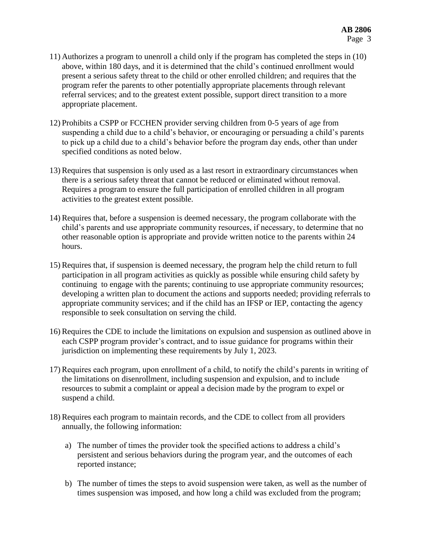- 11) Authorizes a program to unenroll a child only if the program has completed the steps in (10) above, within 180 days, and it is determined that the child's continued enrollment would present a serious safety threat to the child or other enrolled children; and requires that the program refer the parents to other potentially appropriate placements through relevant referral services; and to the greatest extent possible, support direct transition to a more appropriate placement.
- 12) Prohibits a CSPP or FCCHEN provider serving children from 0-5 years of age from suspending a child due to a child's behavior, or encouraging or persuading a child's parents to pick up a child due to a child's behavior before the program day ends, other than under specified conditions as noted below.
- 13) Requires that suspension is only used as a last resort in extraordinary circumstances when there is a serious safety threat that cannot be reduced or eliminated without removal. Requires a program to ensure the full participation of enrolled children in all program activities to the greatest extent possible.
- 14) Requires that, before a suspension is deemed necessary, the program collaborate with the child's parents and use appropriate community resources, if necessary, to determine that no other reasonable option is appropriate and provide written notice to the parents within 24 hours.
- 15) Requires that, if suspension is deemed necessary, the program help the child return to full participation in all program activities as quickly as possible while ensuring child safety by continuing to engage with the parents; continuing to use appropriate community resources; developing a written plan to document the actions and supports needed; providing referrals to appropriate community services; and if the child has an IFSP or IEP, contacting the agency responsible to seek consultation on serving the child.
- 16) Requires the CDE to include the limitations on expulsion and suspension as outlined above in each CSPP program provider's contract, and to issue guidance for programs within their jurisdiction on implementing these requirements by July 1, 2023.
- 17) Requires each program, upon enrollment of a child, to notify the child's parents in writing of the limitations on disenrollment, including suspension and expulsion, and to include resources to submit a complaint or appeal a decision made by the program to expel or suspend a child.
- 18) Requires each program to maintain records, and the CDE to collect from all providers annually, the following information:
	- a) The number of times the provider took the specified actions to address a child's persistent and serious behaviors during the program year, and the outcomes of each reported instance;
	- b) The number of times the steps to avoid suspension were taken, as well as the number of times suspension was imposed, and how long a child was excluded from the program;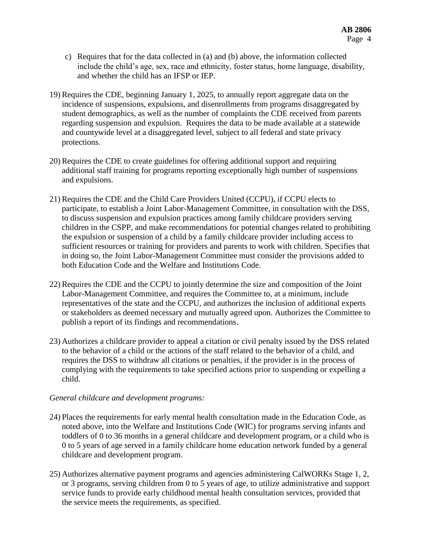- c) Requires that for the data collected in (a) and (b) above, the information collected include the child's age, sex, race and ethnicity, foster status, home language, disability, and whether the child has an IFSP or IEP.
- 19) Requires the CDE, beginning January 1, 2025, to annually report aggregate data on the incidence of suspensions, expulsions, and disenrollments from programs disaggregated by student demographics, as well as the number of complaints the CDE received from parents regarding suspension and expulsion. Requires the data to be made available at a statewide and countywide level at a disaggregated level, subject to all federal and state privacy protections.
- 20) Requires the CDE to create guidelines for offering additional support and requiring additional staff training for programs reporting exceptionally high number of suspensions and expulsions.
- 21) Requires the CDE and the Child Care Providers United (CCPU), if CCPU elects to participate, to establish a Joint Labor-Management Committee, in consultation with the DSS, to discuss suspension and expulsion practices among family childcare providers serving children in the CSPP, and make recommendations for potential changes related to prohibiting the expulsion or suspension of a child by a family childcare provider including access to sufficient resources or training for providers and parents to work with children. Specifies that in doing so, the Joint Labor-Management Committee must consider the provisions added to both Education Code and the Welfare and Institutions Code.
- 22) Requires the CDE and the CCPU to jointly determine the size and composition of the Joint Labor-Management Committee, and requires the Committee to, at a minimum, include representatives of the state and the CCPU, and authorizes the inclusion of additional experts or stakeholders as deemed necessary and mutually agreed upon. Authorizes the Committee to publish a report of its findings and recommendations.
- 23) Authorizes a childcare provider to appeal a citation or civil penalty issued by the DSS related to the behavior of a child or the actions of the staff related to the behavior of a child, and requires the DSS to withdraw all citations or penalties, if the provider is in the process of complying with the requirements to take specified actions prior to suspending or expelling a child.

# *General childcare and development programs:*

- 24) Places the requirements for early mental health consultation made in the Education Code, as noted above, into the Welfare and Institutions Code (WIC) for programs serving infants and toddlers of 0 to 36 months in a general childcare and development program, or a child who is 0 to 5 years of age served in a family childcare home education network funded by a general childcare and development program.
- 25) Authorizes alternative payment programs and agencies administering CalWORKs Stage 1, 2, or 3 programs, serving children from 0 to 5 years of age, to utilize administrative and support service funds to provide early childhood mental health consultation services, provided that the service meets the requirements, as specified.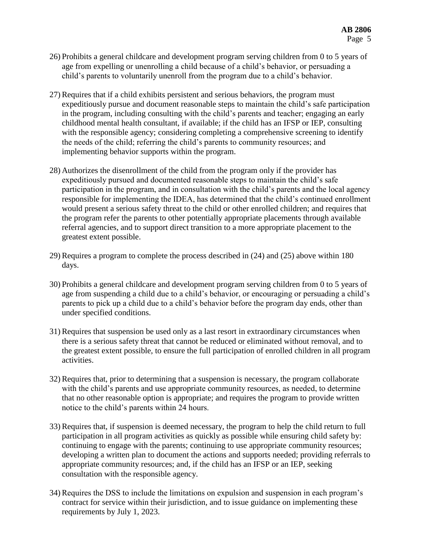- 26) Prohibits a general childcare and development program serving children from 0 to 5 years of age from expelling or unenrolling a child because of a child's behavior, or persuading a child's parents to voluntarily unenroll from the program due to a child's behavior.
- 27) Requires that if a child exhibits persistent and serious behaviors, the program must expeditiously pursue and document reasonable steps to maintain the child's safe participation in the program, including consulting with the child's parents and teacher; engaging an early childhood mental health consultant, if available; if the child has an IFSP or IEP, consulting with the responsible agency; considering completing a comprehensive screening to identify the needs of the child; referring the child's parents to community resources; and implementing behavior supports within the program.
- 28) Authorizes the disenrollment of the child from the program only if the provider has expeditiously pursued and documented reasonable steps to maintain the child's safe participation in the program, and in consultation with the child's parents and the local agency responsible for implementing the IDEA, has determined that the child's continued enrollment would present a serious safety threat to the child or other enrolled children; and requires that the program refer the parents to other potentially appropriate placements through available referral agencies, and to support direct transition to a more appropriate placement to the greatest extent possible.
- 29) Requires a program to complete the process described in (24) and (25) above within 180 days.
- 30) Prohibits a general childcare and development program serving children from 0 to 5 years of age from suspending a child due to a child's behavior, or encouraging or persuading a child's parents to pick up a child due to a child's behavior before the program day ends, other than under specified conditions.
- 31) Requires that suspension be used only as a last resort in extraordinary circumstances when there is a serious safety threat that cannot be reduced or eliminated without removal, and to the greatest extent possible, to ensure the full participation of enrolled children in all program activities.
- 32) Requires that, prior to determining that a suspension is necessary, the program collaborate with the child's parents and use appropriate community resources, as needed, to determine that no other reasonable option is appropriate; and requires the program to provide written notice to the child's parents within 24 hours.
- 33) Requires that, if suspension is deemed necessary, the program to help the child return to full participation in all program activities as quickly as possible while ensuring child safety by: continuing to engage with the parents; continuing to use appropriate community resources; developing a written plan to document the actions and supports needed; providing referrals to appropriate community resources; and, if the child has an IFSP or an IEP, seeking consultation with the responsible agency.
- 34) Requires the DSS to include the limitations on expulsion and suspension in each program's contract for service within their jurisdiction, and to issue guidance on implementing these requirements by July 1, 2023.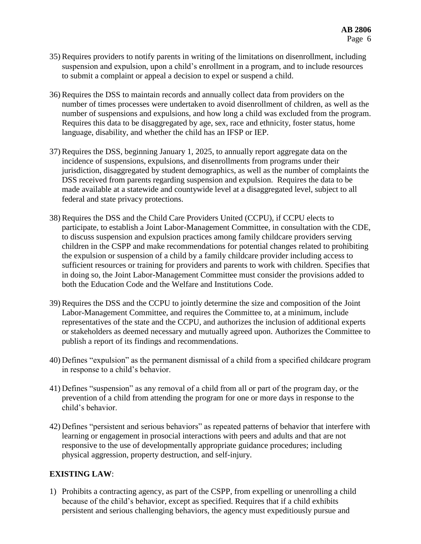- 35) Requires providers to notify parents in writing of the limitations on disenrollment, including suspension and expulsion, upon a child's enrollment in a program, and to include resources to submit a complaint or appeal a decision to expel or suspend a child.
- 36) Requires the DSS to maintain records and annually collect data from providers on the number of times processes were undertaken to avoid disenrollment of children, as well as the number of suspensions and expulsions, and how long a child was excluded from the program. Requires this data to be disaggregated by age, sex, race and ethnicity, foster status, home language, disability, and whether the child has an IFSP or IEP.
- 37) Requires the DSS, beginning January 1, 2025, to annually report aggregate data on the incidence of suspensions, expulsions, and disenrollments from programs under their jurisdiction, disaggregated by student demographics, as well as the number of complaints the DSS received from parents regarding suspension and expulsion. Requires the data to be made available at a statewide and countywide level at a disaggregated level, subject to all federal and state privacy protections.
- 38) Requires the DSS and the Child Care Providers United (CCPU), if CCPU elects to participate, to establish a Joint Labor-Management Committee, in consultation with the CDE, to discuss suspension and expulsion practices among family childcare providers serving children in the CSPP and make recommendations for potential changes related to prohibiting the expulsion or suspension of a child by a family childcare provider including access to sufficient resources or training for providers and parents to work with children. Specifies that in doing so, the Joint Labor-Management Committee must consider the provisions added to both the Education Code and the Welfare and Institutions Code.
- 39) Requires the DSS and the CCPU to jointly determine the size and composition of the Joint Labor-Management Committee, and requires the Committee to, at a minimum, include representatives of the state and the CCPU, and authorizes the inclusion of additional experts or stakeholders as deemed necessary and mutually agreed upon. Authorizes the Committee to publish a report of its findings and recommendations.
- 40) Defines "expulsion" as the permanent dismissal of a child from a specified childcare program in response to a child's behavior.
- 41) Defines "suspension" as any removal of a child from all or part of the program day, or the prevention of a child from attending the program for one or more days in response to the child's behavior.
- 42) Defines "persistent and serious behaviors" as repeated patterns of behavior that interfere with learning or engagement in prosocial interactions with peers and adults and that are not responsive to the use of developmentally appropriate guidance procedures; including physical aggression, property destruction, and self-injury.

# **EXISTING LAW**:

1) Prohibits a contracting agency, as part of the CSPP, from expelling or unenrolling a child because of the child's behavior, except as specified. Requires that if a child exhibits persistent and serious challenging behaviors, the agency must expeditiously pursue and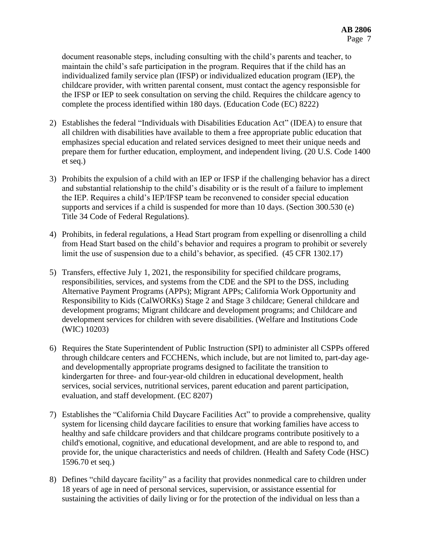document reasonable steps, including consulting with the child's parents and teacher, to maintain the child's safe participation in the program. Requires that if the child has an individualized family service plan (IFSP) or individualized education program (IEP), the childcare provider, with written parental consent, must contact the agency responsisble for the IFSP or IEP to seek consultation on serving the child. Requires the childcare agency to complete the process identified within 180 days. (Education Code (EC) 8222)

- 2) Establishes the federal "Individuals with Disabilities Education Act" (IDEA) to ensure that all children with disabilities have available to them a free appropriate public education that emphasizes special education and related services designed to meet their unique needs and prepare them for further education, employment, and independent living. (20 U.S. Code 1400 et seq.)
- 3) Prohibits the expulsion of a child with an IEP or IFSP if the challenging behavior has a direct and substantial relationship to the child's disability or is the result of a failure to implement the IEP. Requires a child's IEP/IFSP team be reconvened to consider special education supports and services if a child is suspended for more than 10 days. (Section 300.530 (e) Title 34 Code of Federal Regulations).
- 4) Prohibits, in federal regulations, a Head Start program from expelling or disenrolling a child from Head Start based on the child's behavior and requires a program to prohibit or severely limit the use of suspension due to a child's behavior, as specified. (45 CFR 1302.17)
- 5) Transfers, effective July 1, 2021, the responsibility for specified childcare programs, responsibilities, services, and systems from the CDE and the SPI to the DSS, including Alternative Payment Programs (APPs); Migrant APPs; California Work Opportunity and Responsibility to Kids (CalWORKs) Stage 2 and Stage 3 childcare; General childcare and development programs; Migrant childcare and development programs; and Childcare and development services for children with severe disabilities. (Welfare and Institutions Code (WIC) 10203)
- 6) Requires the State Superintendent of Public Instruction (SPI) to administer all CSPPs offered through childcare centers and FCCHENs, which include, but are not limited to, part-day ageand developmentally appropriate programs designed to facilitate the transition to kindergarten for three- and four-year-old children in educational development, health services, social services, nutritional services, parent education and parent participation, evaluation, and staff development. (EC 8207)
- 7) Establishes the "California Child Daycare Facilities Act" to provide a comprehensive, quality system for licensing child daycare facilities to ensure that working families have access to healthy and safe childcare providers and that childcare programs contribute positively to a child's emotional, cognitive, and educational development, and are able to respond to, and provide for, the unique characteristics and needs of children. (Health and Safety Code (HSC) 1596.70 et seq.)
- 8) Defines "child daycare facility" as a facility that provides nonmedical care to children under 18 years of age in need of personal services, supervision, or assistance essential for sustaining the activities of daily living or for the protection of the individual on less than a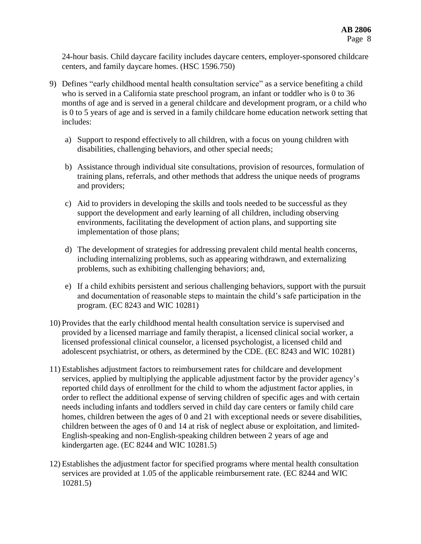24-hour basis. Child daycare facility includes daycare centers, employer-sponsored childcare centers, and family daycare homes. (HSC 1596.750)

- 9) Defines "early childhood mental health consultation service" as a service benefiting a child who is served in a California state preschool program, an infant or toddler who is 0 to 36 months of age and is served in a general childcare and development program, or a child who is 0 to 5 years of age and is served in a family childcare home education network setting that includes:
	- a) Support to respond effectively to all children, with a focus on young children with disabilities, challenging behaviors, and other special needs;
	- b) Assistance through individual site consultations, provision of resources, formulation of training plans, referrals, and other methods that address the unique needs of programs and providers;
	- c) Aid to providers in developing the skills and tools needed to be successful as they support the development and early learning of all children, including observing environments, facilitating the development of action plans, and supporting site implementation of those plans;
	- d) The development of strategies for addressing prevalent child mental health concerns, including internalizing problems, such as appearing withdrawn, and externalizing problems, such as exhibiting challenging behaviors; and,
	- e) If a child exhibits persistent and serious challenging behaviors, support with the pursuit and documentation of reasonable steps to maintain the child's safe participation in the program. (EC 8243 and WIC 10281)
- 10) Provides that the early childhood mental health consultation service is supervised and provided by a licensed marriage and family therapist, a licensed clinical social worker, a licensed professional clinical counselor, a licensed psychologist, a licensed child and adolescent psychiatrist, or others, as determined by the CDE. (EC 8243 and WIC 10281)
- 11) Establishes adjustment factors to reimbursement rates for childcare and development services, applied by multiplying the applicable adjustment factor by the provider agency's reported child days of enrollment for the child to whom the adjustment factor applies, in order to reflect the additional expense of serving children of specific ages and with certain needs including infants and toddlers served in child day care centers or family child care homes, children between the ages of 0 and 21 with exceptional needs or severe disabilities, children between the ages of 0 and 14 at risk of neglect abuse or exploitation, and limited-English-speaking and non-English-speaking children between 2 years of age and kindergarten age. (EC 8244 and WIC 10281.5)
- 12) Establishes the adjustment factor for specified programs where mental health consultation services are provided at 1.05 of the applicable reimbursement rate. (EC 8244 and WIC 10281.5)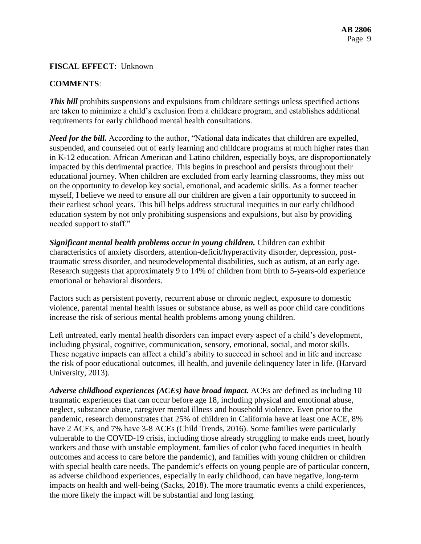## **FISCAL EFFECT**: Unknown

## **COMMENTS**:

**This bill** prohibits suspensions and expulsions from childcare settings unless specified actions are taken to minimize a child's exclusion from a childcare program, and establishes additional requirements for early childhood mental health consultations.

*Need for the bill.* According to the author, "National data indicates that children are expelled, suspended, and counseled out of early learning and childcare programs at much higher rates than in K-12 education. African American and Latino children, especially boys, are disproportionately impacted by this detrimental practice. This begins in preschool and persists throughout their educational journey. When children are excluded from early learning classrooms, they miss out on the opportunity to develop key social, emotional, and academic skills. As a former teacher myself, I believe we need to ensure all our children are given a fair opportunity to succeed in their earliest school years. This bill helps address structural inequities in our early childhood education system by not only prohibiting suspensions and expulsions, but also by providing needed support to staff."

*Significant mental health problems occur in young children.* Children can exhibit characteristics of anxiety disorders, attention-deficit/hyperactivity disorder, depression, posttraumatic stress disorder, and neurodevelopmental disabilities, such as autism, at an early age. Research suggests that approximately 9 to 14% of children from birth to 5-years-old experience emotional or behavioral disorders.

Factors such as persistent poverty, recurrent abuse or chronic neglect, exposure to domestic violence, parental mental health issues or substance abuse, as well as poor child care conditions increase the risk of serious mental health problems among young children.

Left untreated, early mental health disorders can impact every aspect of a child's development, including physical, cognitive, communication, sensory, emotional, social, and motor skills. These negative impacts can affect a child's ability to succeed in school and in life and increase the risk of poor educational outcomes, ill health, and juvenile delinquency later in life. (Harvard University, 2013).

*Adverse childhood experiences (ACEs) have broad impact.* ACEs are defined as including 10 traumatic experiences that can occur before age 18, including physical and emotional abuse, neglect, substance abuse, caregiver mental illness and household violence. Even prior to the pandemic, research demonstrates that 25% of children in California have at least one ACE, 8% have 2 ACEs, and 7% have 3-8 ACEs (Child Trends, 2016). Some families were particularly vulnerable to the COVID-19 crisis, including those already struggling to make ends meet, hourly workers and those with unstable employment, families of color (who faced inequities in health outcomes and access to care before the pandemic), and families with young children or children with special health care needs. The pandemic's effects on young people are of particular concern, as adverse childhood experiences, especially in early childhood, can have negative, long-term impacts on health and well-being (Sacks, 2018). The more traumatic events a child experiences, the more likely the impact will be substantial and long lasting.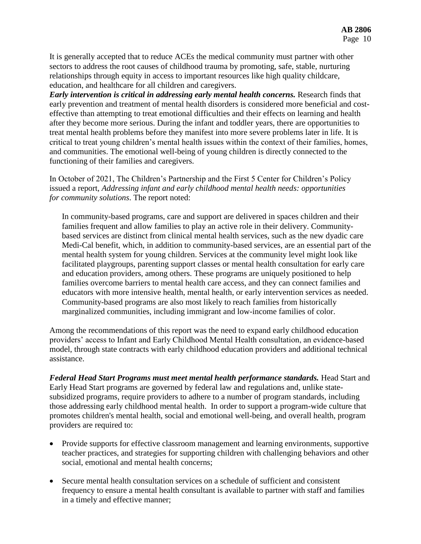It is generally accepted that to reduce ACEs the medical community must partner with other sectors to address the root causes of childhood trauma by promoting, safe, stable, nurturing relationships through equity in access to important resources like high quality childcare, education, and healthcare for all children and caregivers.

*Early intervention is critical in addressing early mental health concerns.* Research finds that early prevention and treatment of mental health disorders is considered more beneficial and costeffective than attempting to treat emotional difficulties and their effects on learning and health after they become more serious. During the infant and toddler years, there are opportunities to treat mental health problems before they manifest into more severe problems later in life. It is critical to treat young children's mental health issues within the context of their families, homes, and communities. The emotional well-being of young children is directly connected to the functioning of their families and caregivers.

In October of 2021, The Children's Partnership and the First 5 Center for Children's Policy issued a report, *Addressing infant and early childhood mental health needs: opportunities for community solutions*. The report noted:

In community-based programs, care and support are delivered in spaces children and their families frequent and allow families to play an active role in their delivery. Communitybased services are distinct from clinical mental health services, such as the new dyadic care Medi-Cal benefit, which, in addition to community-based services, are an essential part of the mental health system for young children. Services at the community level might look like facilitated playgroups, parenting support classes or mental health consultation for early care and education providers, among others. These programs are uniquely positioned to help families overcome barriers to mental health care access, and they can connect families and educators with more intensive health, mental health, or early intervention services as needed. Community-based programs are also most likely to reach families from historically marginalized communities, including immigrant and low-income families of color.

Among the recommendations of this report was the need to expand early childhood education providers' access to Infant and Early Childhood Mental Health consultation, an evidence-based model, through state contracts with early childhood education providers and additional technical assistance.

Federal Head Start Programs must meet mental health performance standards. Head Start and Early Head Start programs are governed by federal law and regulations and, unlike statesubsidized programs, require providers to adhere to a number of program standards, including those addressing early childhood mental health. In order to support a program-wide culture that promotes children's mental health, social and emotional well-being, and overall health, program providers are required to:

- Provide supports for effective classroom management and learning environments, supportive teacher practices, and strategies for supporting children with challenging behaviors and other social, emotional and mental health concerns;
- Secure mental health consultation services on a schedule of sufficient and consistent frequency to ensure a mental health consultant is available to partner with staff and families in a timely and effective manner;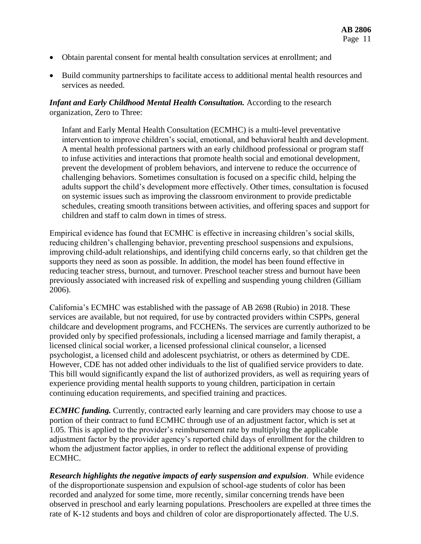- Obtain parental consent for mental health consultation services at enrollment; and
- Build community partnerships to facilitate access to additional mental health resources and services as needed.

#### *Infant and Early Childhood Mental Health Consultation.* According to the research organization, Zero to Three:

Infant and Early Mental Health Consultation (ECMHC) is a multi-level preventative intervention to improve children's social, emotional, and behavioral health and development. A mental health professional partners with an early childhood professional or program staff to infuse activities and interactions that promote health social and emotional development, prevent the development of problem behaviors, and intervene to reduce the occurrence of challenging behaviors. Sometimes consultation is focused on a specific child, helping the adults support the child's development more effectively. Other times, consultation is focused on systemic issues such as improving the classroom environment to provide predictable schedules, creating smooth transitions between activities, and offering spaces and support for children and staff to calm down in times of stress.

Empirical evidence has found that ECMHC is effective in increasing children's social skills, reducing children's challenging behavior, preventing preschool suspensions and expulsions, improving child-adult relationships, and identifying child concerns early, so that children get the supports they need as soon as possible. In addition, the model has been found effective in reducing teacher stress, burnout, and turnover. Preschool teacher stress and burnout have been previously associated with increased risk of expelling and suspending young children (Gilliam 2006).

California's ECMHC was established with the passage of AB 2698 (Rubio) in 2018. These services are available, but not required, for use by contracted providers within CSPPs, general childcare and development programs, and FCCHENs. The services are currently authorized to be provided only by specified professionals, including a licensed marriage and family therapist, a licensed clinical social worker, a licensed professional clinical counselor, a licensed psychologist, a licensed child and adolescent psychiatrist, or others as determined by CDE. However, CDE has not added other individuals to the list of qualified service providers to date. This bill would significantly expand the list of authorized providers, as well as requiring years of experience providing mental health supports to young children, participation in certain continuing education requirements, and specified training and practices.

*ECMHC funding.* Currently, contracted early learning and care providers may choose to use a portion of their contract to fund ECMHC through use of an adjustment factor, which is set at 1.05. This is applied to the provider's reimbursement rate by multiplying the applicable adjustment factor by the provider agency's reported child days of enrollment for the children to whom the adjustment factor applies, in order to reflect the additional expense of providing ECMHC.

*Research highlights the negative impacts of early suspension and expulsion*. While evidence of the disproportionate suspension and expulsion of school-age students of color has been recorded and analyzed for some time, more recently, similar concerning trends have been observed in preschool and early learning populations. Preschoolers are expelled at three times the rate of K-12 students and boys and children of color are disproportionately affected. The U.S.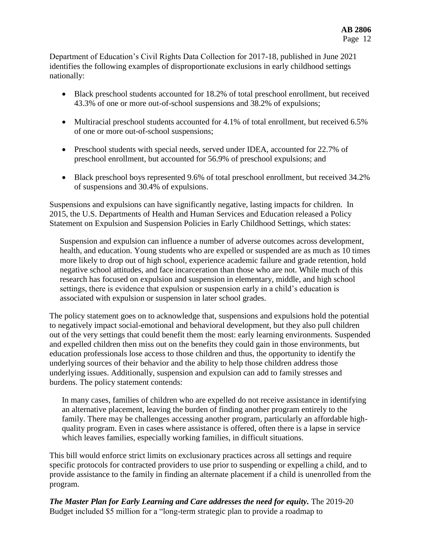Department of Education's Civil Rights Data Collection for 2017-18, published in June 2021 identifies the following examples of disproportionate exclusions in early childhood settings nationally:

- Black preschool students accounted for 18.2% of total preschool enrollment, but received 43.3% of one or more out-of-school suspensions and 38.2% of expulsions;
- Multiracial preschool students accounted for 4.1% of total enrollment, but received 6.5% of one or more out-of-school suspensions;
- Preschool students with special needs, served under IDEA, accounted for 22.7% of preschool enrollment, but accounted for 56.9% of preschool expulsions; and
- Black preschool boys represented 9.6% of total preschool enrollment, but received 34.2% of suspensions and 30.4% of expulsions.

Suspensions and expulsions can have significantly negative, lasting impacts for children. In 2015, the U.S. Departments of Health and Human Services and Education released a Policy Statement on Expulsion and Suspension Policies in Early Childhood Settings, which states:

Suspension and expulsion can influence a number of adverse outcomes across development, health, and education. Young students who are expelled or suspended are as much as 10 times more likely to drop out of high school, experience academic failure and grade retention, hold negative school attitudes, and face incarceration than those who are not. While much of this research has focused on expulsion and suspension in elementary, middle, and high school settings, there is evidence that expulsion or suspension early in a child's education is associated with expulsion or suspension in later school grades.

The policy statement goes on to acknowledge that, suspensions and expulsions hold the potential to negatively impact social-emotional and behavioral development, but they also pull children out of the very settings that could benefit them the most: early learning environments. Suspended and expelled children then miss out on the benefits they could gain in those environments, but education professionals lose access to those children and thus, the opportunity to identify the underlying sources of their behavior and the ability to help those children address those underlying issues. Additionally, suspension and expulsion can add to family stresses and burdens. The policy statement contends:

In many cases, families of children who are expelled do not receive assistance in identifying an alternative placement, leaving the burden of finding another program entirely to the family. There may be challenges accessing another program, particularly an affordable highquality program. Even in cases where assistance is offered, often there is a lapse in service which leaves families, especially working families, in difficult situations.

This bill would enforce strict limits on exclusionary practices across all settings and require specific protocols for contracted providers to use prior to suspending or expelling a child, and to provide assistance to the family in finding an alternate placement if a child is unenrolled from the program.

*The Master Plan for Early Learning and Care addresses the need for equity. The 2019-20* Budget included \$5 million for a "long-term strategic plan to provide a roadmap to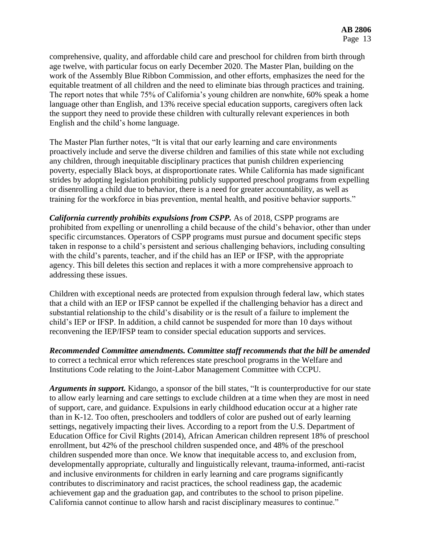comprehensive, quality, and affordable child care and preschool for children from birth through age twelve, with particular focus on early December 2020. The Master Plan, building on the work of the Assembly Blue Ribbon Commission, and other efforts, emphasizes the need for the equitable treatment of all children and the need to eliminate bias through practices and training. The report notes that while 75% of California's young children are nonwhite, 60% speak a home language other than English, and 13% receive special education supports, caregivers often lack the support they need to provide these children with culturally relevant experiences in both English and the child's home language.

The Master Plan further notes, "It is vital that our early learning and care environments proactively include and serve the diverse children and families of this state while not excluding any children, through inequitable disciplinary practices that punish children experiencing poverty, especially Black boys, at disproportionate rates. While California has made significant strides by adopting legislation prohibiting publicly supported preschool programs from expelling or disenrolling a child due to behavior, there is a need for greater accountability, as well as training for the workforce in bias prevention, mental health, and positive behavior supports."

*California currently prohibits expulsions from CSPP.* As of 2018, CSPP programs are prohibited from expelling or unenrolling a child because of the child's behavior, other than under specific circumstances. Operators of CSPP programs must pursue and document specific steps taken in response to a child's persistent and serious challenging behaviors, including consulting with the child's parents, teacher, and if the child has an IEP or IFSP, with the appropriate agency. This bill deletes this section and replaces it with a more comprehensive approach to addressing these issues.

Children with exceptional needs are protected from expulsion through federal law, which states that a child with an IEP or IFSP cannot be expelled if the challenging behavior has a direct and substantial relationship to the child's disability or is the result of a failure to implement the child's IEP or IFSP. In addition, a child cannot be suspended for more than 10 days without reconvening the IEP/IFSP team to consider special education supports and services.

*Recommended Committee amendments. Committee staff recommends that the bill be amended*  to correct a technical error which references state preschool programs in the Welfare and Institutions Code relating to the Joint-Labor Management Committee with CCPU.

*Arguments in support.* Kidango, a sponsor of the bill states, "It is counterproductive for our state to allow early learning and care settings to exclude children at a time when they are most in need of support, care, and guidance. Expulsions in early childhood education occur at a higher rate than in K-12. Too often, preschoolers and toddlers of color are pushed out of early learning settings, negatively impacting their lives. According to a report from the U.S. Department of Education Office for Civil Rights (2014), African American children represent 18% of preschool enrollment, but 42% of the preschool children suspended once, and 48% of the preschool children suspended more than once. We know that inequitable access to, and exclusion from, developmentally appropriate, culturally and linguistically relevant, trauma-informed, anti-racist and inclusive environments for children in early learning and care programs significantly contributes to discriminatory and racist practices, the school readiness gap, the academic achievement gap and the graduation gap, and contributes to the school to prison pipeline. California cannot continue to allow harsh and racist disciplinary measures to continue."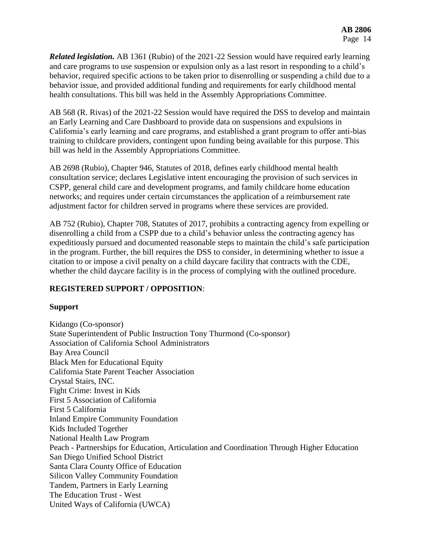*Related legislation.* AB 1361 (Rubio) of the 2021-22 Session would have required early learning and care programs to use suspension or expulsion only as a last resort in responding to a child's behavior, required specific actions to be taken prior to disenrolling or suspending a child due to a behavior issue, and provided additional funding and requirements for early childhood mental health consultations. This bill was held in the Assembly Appropriations Committee.

AB 568 (R. Rivas) of the 2021-22 Session would have required the DSS to develop and maintain an Early Learning and Care Dashboard to provide data on suspensions and expulsions in California's early learning and care programs, and established a grant program to offer anti-bias training to childcare providers, contingent upon funding being available for this purpose. This bill was held in the Assembly Appropriations Committee.

AB 2698 (Rubio), Chapter 946, Statutes of 2018, defines early childhood mental health consultation service; declares Legislative intent encouraging the provision of such services in CSPP, general child care and development programs, and family childcare home education networks; and requires under certain circumstances the application of a reimbursement rate adjustment factor for children served in programs where these services are provided.

AB 752 (Rubio), Chapter 708, Statutes of 2017, prohibits a contracting agency from expelling or disenrolling a child from a CSPP due to a child's behavior unless the contracting agency has expeditiously pursued and documented reasonable steps to maintain the child's safe participation in the program. Further, the bill requires the DSS to consider, in determining whether to issue a citation to or impose a civil penalty on a child daycare facility that contracts with the CDE, whether the child daycare facility is in the process of complying with the outlined procedure.

# **REGISTERED SUPPORT / OPPOSITION**:

# **Support**

Kidango (Co-sponsor) State Superintendent of Public Instruction Tony Thurmond (Co-sponsor) Association of California School Administrators Bay Area Council Black Men for Educational Equity California State Parent Teacher Association Crystal Stairs, INC. Fight Crime: Invest in Kids First 5 Association of California First 5 California Inland Empire Community Foundation Kids Included Together National Health Law Program Peach - Partnerships for Education, Articulation and Coordination Through Higher Education San Diego Unified School District Santa Clara County Office of Education Silicon Valley Community Foundation Tandem, Partners in Early Learning The Education Trust - West United Ways of California (UWCA)